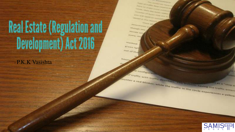# Real Estate (Regulation and<br>Development) Act 2016

- P.K.K Vasistha

- P.K.K Vasishta

Religiously, welling this traffic in this circle exp.

**COUNTER** 

**THE RAIL** 

**SAMS**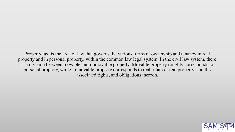Property law is the area of law that governs the various forms of ownership and tenancy in real property and in personal property, within the common law legal system. In the civil law system, there is a division between movable and immovable property. Movable property roughly corresponds to personal property, while immovable property corresponds to real estate or real property, and the associated rights, and obligations thereon.

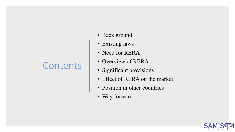### **Contents**

- Back ground
- Existing laws
- Need for RERA
- Overview of RERA
- Significant provisions
- Effect of RERA on the market
- Position in other countries
- Way forward

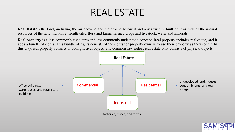### REAL ESTATE

**Real Estate** - the land, including the air above it and the ground below it and any structure built on it as well as the natural resources of the land including uncultivated flora and fauna, farmed crops and livestock, water and minerals.

**Real property** is a less commonly used term and less commonly understood concept. Real property includes real estate, and it adds a bundle of rights. This bundle of rights consists of the rights for property owners to use their property as they see fit. In this way, real property consists of both physical objects and common law rights; real estate only consists of physical objects.



factories, mines, and farms.

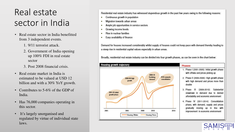### Real estate sector in India

- Real estate sector in India benefitted from 3 independent events.
	- 1. 9/11 terrorist attack.
	- 2. Government of India opening up 100% FDI in real estate sector
	- 3. Post 2008 financial crisis.
- Real estate market in India is estimated to be valued at USD 12 billion and with a 30% YoY growth.
- Contributes to 5-6% of the GDP of India.
- Has 76,000 companies operating in this sector.
- It's largely unorganised and regulated by virtue of individual state laws.

Residential real estate industry has witnessed stupendous growth in the past few years owing to the following reasons:

- Continuous growth in population ٠
- Migration towards urban areas
- Ample job opportunities in service sectors
- Growing income levels
- Rise in nuclear families
- Easy availability of finance

Demand for houses increased considerably whilst supply of houses could not keep pace with demand thereby leading to a steep rise in residential capital values especially in urban areas.

Broadly, residential real estate industry can be divided into four growth phases, as can be seen in the chart below:

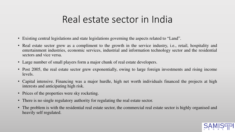### Real estate sector in India

- Existing central legislations and state legislations governing the aspects related to "Land".
- Real estate sector grew as a compliment to the growth in the service industry, i.e., retail, hospitality and entertainment industries, economic services, industrial and information technology sector and the residential sectors and vice versa.
- Large number of small players form a major chunk of real estate developers.
- Post 2005, the real estate sector grew exponentially, owing to large foreign investments and rising income levels.
- Capital intensive. Financing was a major hurdle, high net worth individuals financed the projects at high interests and anticipating high risk.
- Prices of the properties were sky rocketing.
- There is no single regulatory authority for regulating the real estate sector.
- The problem is with the residential real estate sector, the commercial real estate sector is highly organised and heavily self regulated.

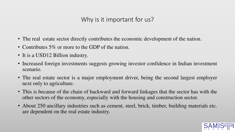#### Why is it important for us?

- The real estate sector directly contributes the economic development of the nation.
- Contributes 5% or more to the GDP of the nation.
- It is a USD12 Billion industry.
- Increased foreign investments suggests growing investor confidence in Indian investment scenario.
- The real estate sector is a major employment driver, being the second largest employer next only to agriculture.
- This is because of the chain of backward and forward linkages that the sector has with the other sectors of the economy, especially with the housing and construction sector.
- About 250 ancillary industries such as cement, steel, brick, timber, building materials etc. are dependent on the real estate industry.

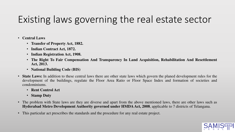# Existing laws governing the real estate sector

- **Central Laws** 
	- **Transfer of Property Act, 1882.**
	- **Indian Contract Act, 1872.**
	- **Indian Registration Act, 1908.**
	- **The Right To Fair Compensation And Transparency In Land Acquisition, Rehabilitation And Resettlement Act, 2013.**
	- **National Building Code (BIS)**
- **State Laws:** In addition to these central laws there are other state laws which govern the planed development rules for the development of the buildings, regulate the Floor Area Ratio or Floor Space Index and formation of societies and condominiums.
	- **Rent Control Act**
	- **Stamp Duty**
- The problem with State laws are they are diverse and apart from the above mentioned laws, there are other laws such as **Hyderabad Metro Development Authority governed under HMDA Act, 2008**, applicable to 7 districts of Telangana.
- This particular act prescribes the standards and the procedure for any real estate project.

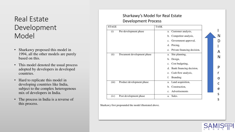#### Real Estate Development Model

- Sharkawy proposed this model in 1994, all the other models are purely based on this.
- This model denoted the usual process adopted by developers in developed countries.
- Hard to replicate this model in developing countries like India, subject to the complex heterogenous mix of developers in India.
- The process in India is a reverse of this process.

#### Sharkawy's Model for Real Estate Development Process

| <b>STAGE</b> |                            | <b>TASK</b>                    |  |   |
|--------------|----------------------------|--------------------------------|--|---|
| (i)          | Pre-development phase      | Customer analysis,<br>a.       |  |   |
|              |                            | b. Competitor analysis,        |  | N |
|              |                            | c. Government approval,        |  |   |
|              |                            | d. Pricing,                    |  |   |
|              |                            | e. Private financing decision, |  |   |
| (ii)         | Document development phase | a. Site planning,              |  |   |
|              |                            | b. Design,                     |  | N |
|              |                            | c. Cost budgeting,             |  |   |
|              |                            | Bank financing decision,<br>d. |  | P |
|              |                            | e. Cash flow analysis,         |  |   |
|              |                            | <b>Branding</b><br>f.          |  |   |
| (iii)        | Product development phase  | a. Land acquisition,           |  |   |
|              |                            | b. Construction,               |  | e |
|              |                            | c. Advertisements              |  |   |
| (iv)         | Post development phase     | Sales.<br>a.                   |  | S |
|              |                            |                                |  | S |

Sharkawy first propounded the model illustrated above.

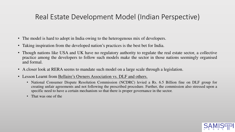#### Real Estate Development Model (Indian Perspective)

- The model is hard to adopt in India owing to the heterogenous mix of developers.
- Taking inspiration from the developed nation's practices is the best bet for India.
- Though nations like USA and UK have no regulatory authority to regulate the real estate sector, a collective practice among the developers to follow such models make the sector in those nations seemingly organised and formal.
- A closer look at RERA seems to mandate such model on a large scale through a legislation.
- Lesson Learnt from Bellaire's Owners Association vs. DLF and others.
	- National Consumer Dispute Resolution Commission (NCDRC) levied a Rs. 6.5 Billion fine on DLF group for creating unfair agreements and not following the prescribed procedure. Further, the commission also stressed upon a specific need to have a certain mechanism so that there is proper governance in the sector.
	- That was one of the

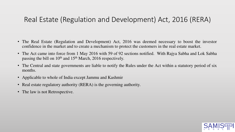#### Real Estate (Regulation and Development) Act, 2016 (RERA)

- The Real Estate (Regulation and Development) Act, 2016 was deemed necessary to boost the investor confidence in the market and to create a mechanism to protect the customers in the real estate market.
- The Act came into force from 1 May 2016 with 59 of 92 sections notified. With Rajya Sabha and Lok Sabha passing the bill on 10<sup>th</sup> and 15<sup>th</sup> March, 2016 respectively.
- The Central and state governments are liable to notify the Rules under the Act within a statutory period of six months.
- Applicable to whole of India except Jammu and Kashmir
- Real estate regulatory authority (RERA) is the governing authority.
- The law is not Retrospective.

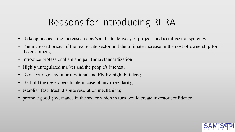# Reasons for introducing RERA

- To keep in check the increased delay's and late delivery of projects and to infuse transparency;
- The increased prices of the real estate sector and the ultimate increase in the cost of ownership for the customers;
- introduce professionalism and pan India standardization;
- Highly unregulated market and the people's interest;
- To discourage any unprofessional and Fly-by-night builders;
- To hold the developers liable in case of any irregularity;
- establish fast-track dispute resolution mechanism;
- promote good governance in the sector which in turn would create investor confidence.

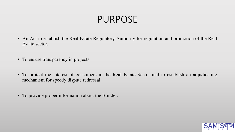### PURPOSE

- An Act to establish the Real Estate Regulatory Authority for regulation and promotion of the Real Estate sector.
- To ensure transparency in projects.
- To protect the interest of consumers in the Real Estate Sector and to establish an adjudicating mechanism for speedy dispute redressal.
- To provide proper information about the Builder.

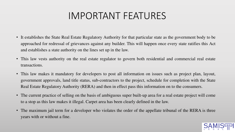# IMPORTANT FEATURES

- It establishes the State Real Estate Regulatory Authority for that particular state as the government body to be approached for redressal of grievances against any builder. This will happen once every state ratifies this Act and establishes a state authority on the lines set up in the law.
- This law vests authority on the real estate regulator to govern both residential and commercial real estate transactions.
- This law makes it mandatory for developers to post all information on issues such as project plan, layout, government approvals, land title status, sub-contractors to the project, schedule for completion with the State Real Estate Regulatory Authority (RERA) and then in effect pass this information on to the consumers.
- The current practice of selling on the basis of ambiguous super built-up area for a real estate project will come to a stop as this law makes it illegal. Carpet area has been clearly defined in the law.
- The maximum jail term for a developer who violates the order of the appellate tribunal of the RERA is three years with or without a fine.

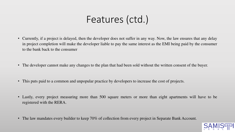# Features (ctd.)

- Currently, if a project is delayed, then the developer does not suffer in any way. Now, the law ensures that any delay in project completion will make the developer liable to pay the same interest as the EMI being paid by the consumer to the bank back to the consumer
- The developer cannot make any changes to the plan that had been sold without the written consent of the buyer.
- This puts paid to a common and unpopular practice by developers to increase the cost of projects.
- Lastly, every project measuring more than 500 square meters or more than eight apartments will have to be registered with the RERA.
- The law mandates every builder to keep 70% of collection from every project in Separate Bank Account.

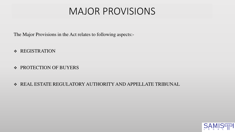### MAJOR PROVISIONS

The Major Provisions in the Act relates to following aspects:-

- \* REGISTRATION
- ❖ PROTECTION OF BUYERS

#### REAL ESTATE REGULATORY AUTHORITY AND APPELLATE TRIBUNAL

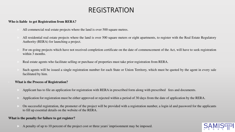#### REGISTRATION

#### **Who is liable to get Registration from RERA?**

- All commercial real estate projects where the land is over 500 square metres.
- All residential real estate projects where the land is over 500 square meters or eight apartments, to register with the Real Estate Regulatory Authority (RERA) for launching a project.
- For on-going projects which have not received completion certificate on the date of commencement of the Act, will have to seek registration within 3 months.
- Real estate agents who facilitate selling or purchase of properties must take prior registration from RERA.
- Such agents will be issued a single registration number for each State or Union Territory, which must be quoted by the agent in every sale facilitated by him.

#### • **What is the Process of Registration?**

- Applicant has to file an application for registration with RERA in prescribed form along with prescribed fees and documents.
- Application for registration must be either approved or rejected within a period of 30 days from the date of application by the RERA.
- On successful registration, the promoter of the project will be provided with a registration number, a login id and password for the applicants to fill up essential details on the website of the RERA.

#### **What is the penalty for failure to get register?**

A penalty of up to 10 percent of the project cost or three years' imprisonment may be imposed.

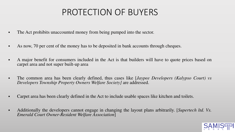### PROTECTION OF BUYERS

- The Act prohibits unaccounted money from being pumped into the sector.
- As now, 70 per cent of the money has to be deposited in bank accounts through cheques.
- A major benefit for consumers included in the Act is that builders will have to quote prices based on carpet area and not super built-up area
- The common area has been clearly defined, thus cases like [*Jaypee Developers (Kalypso Court) vs Developers Township Property Owners Welfare Society]* are addressed.
- Carpet area has been clearly defined in the Act to include usable spaces like kitchen and toilets.
- Additionally the developers cannot engage in changing the layout plans arbitrarily. [*Supertech ltd. Vs. Emerald Court Owner-Resident Welfare Association*]

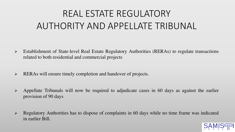# REAL ESTATE REGULATORY AUTHORITY AND APPELLATE TRIBUNAL

- Establishment of State-level Real Estate Regulatory Authorities (RERAs) to regulate transactions related to both residential and commercial projects
- $\triangleright$  RERAs will ensure timely completion and handover of projects.
- $\triangleright$  Appellate Tribunals will now be required to adjudicate cases in 60 days as against the earlier provision of 90 days
- $\triangleright$  Regulatory Authorities has to dispose of complaints in 60 days while no time frame was indicated in earlier Bill.

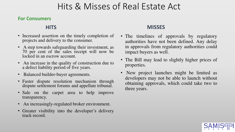#### Hits & Misses of Real Estate Act

#### **For Consumers**

#### **HITS**

- Increased assertion on the timely completion of projects and delivery to the consumer.
- A step towards safeguarding their investment, as 70 per cent of the sales receipt will now be locked in an escrow account.
- An increase in the quality of construction due to a defect liability period of five years.
- Balanced builder-buyer agreements.
- Faster dispute resolution mechanism through dispute settlement forums and appellate tribunal.
- Sale on the carpet area to help improve transparency.
- An increasingly-regulated broker environment.
- Greater visibility into the developer's delivery track record.

#### **MISSES**

- The timelines of approvals by regulatory authorities have not been defined. Any delay in approvals from regulatory authorities could impact buyers as well.
- The Bill may lead to slightly higher prices of properties.
- New project launches might be limited as developers may not be able to launch without obtaining approvals, which could take two to three years.

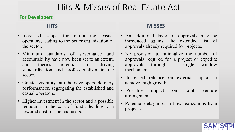#### Hits & Misses of Real Estate Act

#### **For Developers**

#### **HITS**

- Increased scope for eliminating casual operators, leading to the better organization of the sector.
- Minimum standards of governance and accountability have now been set to an extent, and there's potential for driving standardization and professionalism in the sector.
- Greater visibility into the developers' delivery performances, segregating the established and casual operators.
- Higher investment in the sector and a possible reduction in the cost of funds, leading to a lowered cost for the end users.

#### **MISSES**

- An additional layer of approvals may be introduced against the extended list of approvals already required for projects.
- No provision to rationalize the number of approvals required for a project or expedite approvals through a single window mechanism.
- Increased reliance on external capital to achieve high growth.
- Possible impact on joint venture arrangements.
- Potential delay in cash-flow realizations from projects.

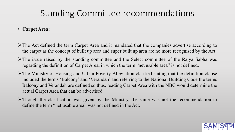#### Standing Committee recommendations

- **Carpet Area:**
- The Act defined the term Carpet Area and it mandated that the companies advertise according to the carpet as the concept of built up area and super built up area are no more recognised by the Act.
- $\triangleright$  The issue raised by the standing committee and the Select committee of the Rajya Sabha was regarding the definition of Carpet Area, in which the term "net usable area" is not defined.
- The Ministry of Housing and Urban Poverty Alleviation clarified stating that the definition clause included the terms 'Balcony' and 'Verandah' and referring to the National Building Code the terms Balcony and Verandah are defined so thus, reading Carpet Area with the NBC would determine the actual Carpet Area that can be advertised.
- $\triangleright$  Though the clarification was given by the Ministry, the same was not the recommendation to define the term "net usable area" was not defined in the Act.

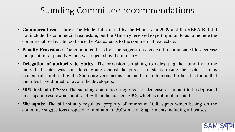#### Standing Committee recommendations

- **Commercial real estate:** The Model bill drafted by the Ministry in 2009 and the RERA Bill did not include the commercial real estate, but the Ministry received expert opinion to as to include the commercial real estate too hence the Act extends to the commercial real estate.
- **Penalty Provisions:** The committee based on the suggestions received recommended to decrease the quantum of penalty which was rejected by the ministry.
- **Delegation of authority to States:** The provision pertaining to delegating the authority to the individual states was considered going against the process of standardising the sector as it is evident rules notified by the States are very inconsistent and are ambiguous, further it is found that the rules have diluted to favour the developers.
- **50% instead of 70%:** The standing committee suggested for decrease of amount to be deposited in a separate escrow account to 50% than the existent 70%, which is not implemented.
- **500 sqmts:** The bill initially regulated property of minimum 1000 sqmts which basing on the committee suggestions dropped to minimum of 500sqmts or 8 apartments including all phases.

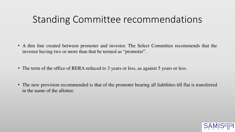### Standing Committee recommendations

- A thin line created between promoter and investor. The Select Committee recommends that the investor having two or more than that be termed as "promoter".
- The term of the office of RERA reduced to 3 years or less, as against 5 years or less.
- The new provision recommended is that of the promoter bearing all liabilities till flat is transferred in the name of the allottee.

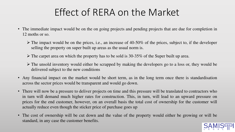# Effect of RERA on the Market

- The immediate impact would be on the on going projects and pending projects that are due for completion in 12 moths or so.
	- $\triangleright$  The impact would be on the prices, i.e., an increase of 40-50% of the prices, subject to, if the developer selling the property on super built up areas as the usual norm is.
	- $\triangleright$  The carpet area on which the property has to be sold is 30-35% of the Super built up area.
	- The unsold inventory would either be scrapped by making the developers go to a loss or, they would be delivered subject to the new conditions
- Any financial impact on the market would be short term, as in the long term once there is standardisation across the sector prices would be transparent and would go down.
- There will now be a pressure to deliver projects on time and this pressure will be translated to contractors who in turn will demand much higher rates for construction. This, in turn, will lead to an upward pressure on prices for the end customer, however, on an overall basis the total cost of ownership for the customer will actually reduce even though the sticker price of purchase goes up
- The cost of ownership will be cut down and the value of the property would either be growing or will be standard, in any case the customer benefits.

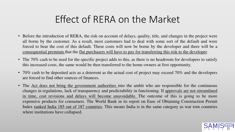### Effect of RERA on the Market

- Before the introduction of RERA, the risk on account of delays, quality, title, and changes in the project were all borne by the customer. As a result, most customers had to deal with some sort of the default and were forced to bear the cost of this default. These costs will now be borne by the developer and there will be a consequential premium that the flat purchasers will have to pay for transferring this risk to the developer.
- The 70% cash to be used for the specific project adds to this, as there is no headroom for developers to satisfy this increased costs, the same would be then transferred to the home owners at first opportunity.
- 70% cash to be deposited acts as a deterrent as the actual cost of project may exceed 70% and the developers are forced to find other sources of finances.
- The <u>Act does not bring the government authorities</u> into the ambit who are responsible for the continuous changes in regulations, lack of transparency and predictability in functioning. If approvals are not streamlined in time, cost revisions and delays will become unavoidable. The outcome of this is going to be more expensive products for consumers. The World Bank in its report on Ease of Obtaining Construction Permit Index ranked India 185 out of 187 countries. This means India is in the same category as war torn countries where institutions have collapsed.

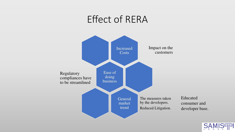### Effect of RERA



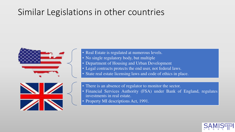### Similar Legislations in other countries



• Real Estate is regulated at numerous levels.

- No single regulatory body, but multiple
- Department of Housing and Urban Development
- Legal contracts protects the end user, not federal laws.
- State real estate licensing laws and code of ethics in place.



- There is an absence of regulator to monitor the sector.
- Financial Services Authority (FSA) under Bank of England, regulates investments in real estate.
- Property MI descriptions Act, 1991.

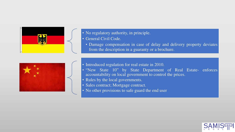

• No regulatory authority, in principle.

• General Civil Code.

• Damage compensation in case of delay and delivery property deviates from the description in a guaranty or a brochure.



- Introduced regulation for real estate in 2010.
- "New State 10" by State Department of Real Estate- enforces accountability on local government to control the prices.
- Rules by the local governments.
- Sales contract; Mortgage contract.
- No other provisions to safe guard the end user

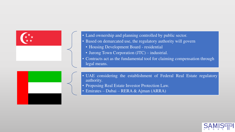

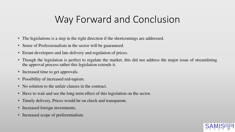# Way Forward and Conclusion

- The legislations is a step in the right direction if the shortcomings are addressed.
- Sense of Professionalism in the sector will be guaranteed.
- Errant developers and late delivery and regulation of prices.
- Though the legislation is perfect to regulate the market, this did not address the major issue of streamlining the approval process rather this legislation extends it.
- Increased time to get approvals.
- Possibility of increased red-tapism.
- No solution to the unfair clauses in the contract.
- Have to wait and see the long term effect of this legislation on the sector.
- Timely delivery, Prices would be on check and transparent.
- Increased foreign investments.
- Increased scope of preferentialism.

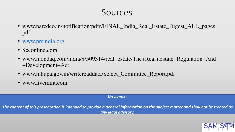#### Sources

- www.naredco.in/notification/pdfs/FINAL\_India\_Real\_Estate\_Digest\_ALL\_pages. pdf
- [www.prsindia.org](http://www.prsindia.org/)
- Scconline.com
- www.mondaq.com/india/x/509314/real+estate/The+Real+Estate+Regulation+And +Development+Act
- www.mhupa.gov.in/writereaddata/Select\_Committee\_Report.pdf
- www.livemint.com

#### *Disclaimer*

*The content of this presentation is intended to provide a general information on the subject matter and shall not be treated as any legal advisory.*